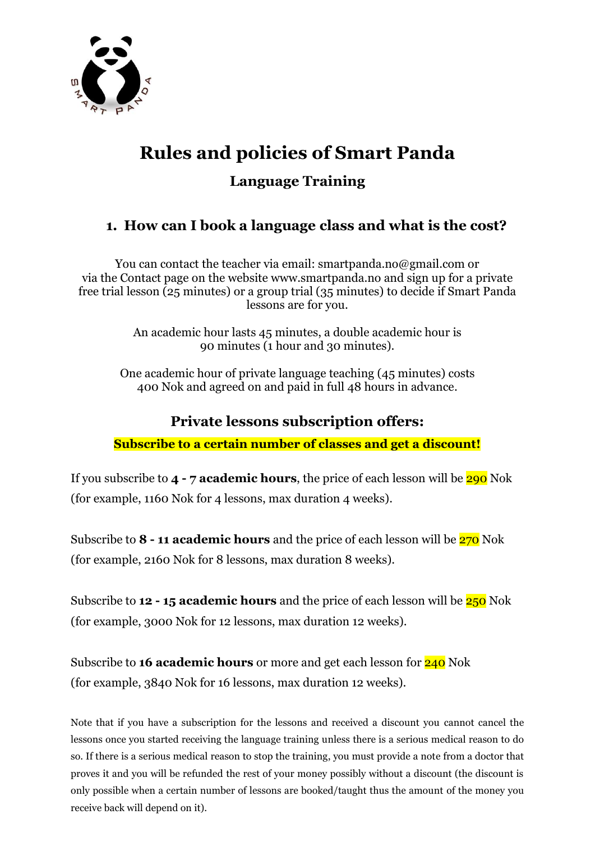

# **Rules and policies of Smart Panda**

**Language Training**

# **1. How can I book a language class and what is the cost?**

You can contact the teacher via email: smartpanda.no@gmail.com or via the Contact page on the website www.smartpanda.no and sign up for a private free trial lesson (25 minutes) or a group trial (35 minutes) to decide if Smart Panda lessons are for you.

> An academic hour lasts 45 minutes, a double academic hour is 90 minutes (1 hour and 30 minutes).

One academic hour of private language teaching (45 minutes) costs 400 Nok and agreed on and paid in full 48 hours in advance.

## **Private lessons subscription offers:**

**Subscribe to a certain number of classes and get a discount!**

If you subscribe to **4 - 7 academic hours**, the price of each lesson will be 290 Nok (for example, 1160 Nok for 4 lessons, max duration 4 weeks).

Subscribe to **8 - 11 academic hours** and the price of each lesson will be 270 Nok (for example, 2160 Nok for 8 lessons, max duration 8 weeks).

Subscribe to **12 - 15 academic hours** and the price of each lesson will be 250 Nok (for example, 3000 Nok for 12 lessons, max duration 12 weeks).

Subscribe to **16 academic hours** or more and get each lesson for 240 Nok (for example, 3840 Nok for 16 lessons, max duration 12 weeks).

Note that if you have a subscription for the lessons and received a discount you cannot cancel the lessons once you started receiving the language training unless there is a serious medical reason to do so. If there is a serious medical reason to stop the training, you must provide a note from a doctor that proves it and you will be refunded the rest of your money possibly without a discount (the discount is only possible when a certain number of lessons are booked/taught thus the amount of the money you receive back will depend on it).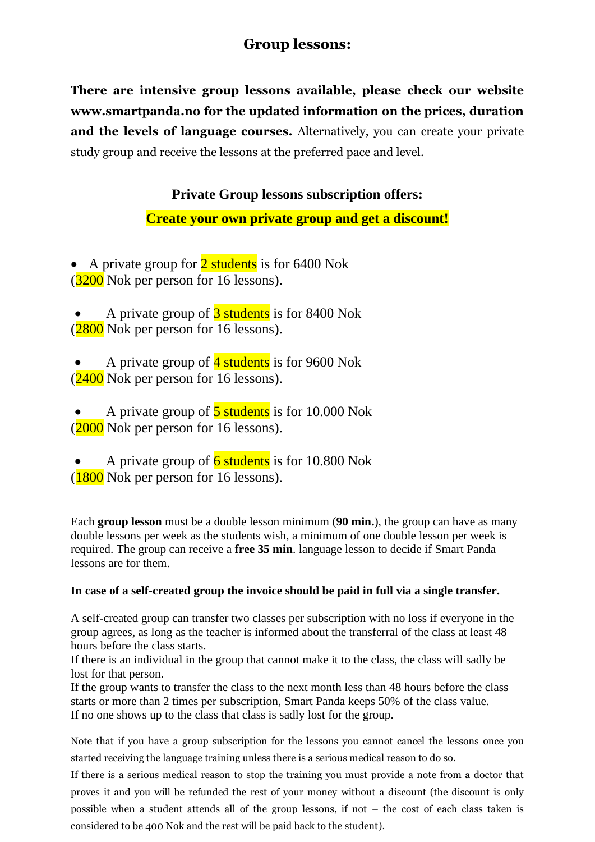#### **Group lessons:**

**There are intensive group lessons available, please check our website www.smartpanda.no for the updated information on the prices, duration and the levels of language courses.** Alternatively, you can create your private study group and receive the lessons at the preferred pace and level.

#### **Private Group lessons subscription offers:**

#### **Create your own private group and get a discount!**

• A private group for  $\frac{2 \text{ students}}{2 \text{ is for } 6400 \text{ Nok}}$ (3200 Nok per person for 16 lessons).

- A private group of 3 students is for 8400 Nok  $(2800)$  Nok per person for 16 lessons).
- A private group of 4 students is for 9600 Nok  $(2400)$  Nok per person for 16 lessons).
- A private group of  $\frac{5}{5}$  students is for 10.000 Nok  $(2000)$  Nok per person for 16 lessons).
- A private group of  $\overline{6}$  students is for 10.800 Nok  $(1800)$  Nok per person for 16 lessons).

Each **group lesson** must be a double lesson minimum (**90 min.**), the group can have as many double lessons per week as the students wish, a minimum of one double lesson per week is required. The group can receive a **free 35 min**. language lesson to decide if Smart Panda lessons are for them.

#### **In case of a self-created group the invoice should be paid in full via a single transfer.**

A self-created group can transfer two classes per subscription with no loss if everyone in the group agrees, as long as the teacher is informed about the transferral of the class at least 48 hours before the class starts.

If there is an individual in the group that cannot make it to the class, the class will sadly be lost for that person.

If the group wants to transfer the class to the next month less than 48 hours before the class starts or more than 2 times per subscription, Smart Panda keeps 50% of the class value. If no one shows up to the class that class is sadly lost for the group.

Note that if you have a group subscription for the lessons you cannot cancel the lessons once you started receiving the language training unless there is a serious medical reason to do so.

If there is a serious medical reason to stop the training you must provide a note from a doctor that proves it and you will be refunded the rest of your money without a discount (the discount is only possible when a student attends all of the group lessons, if not – the cost of each class taken is considered to be 400 Nok and the rest will be paid back to the student).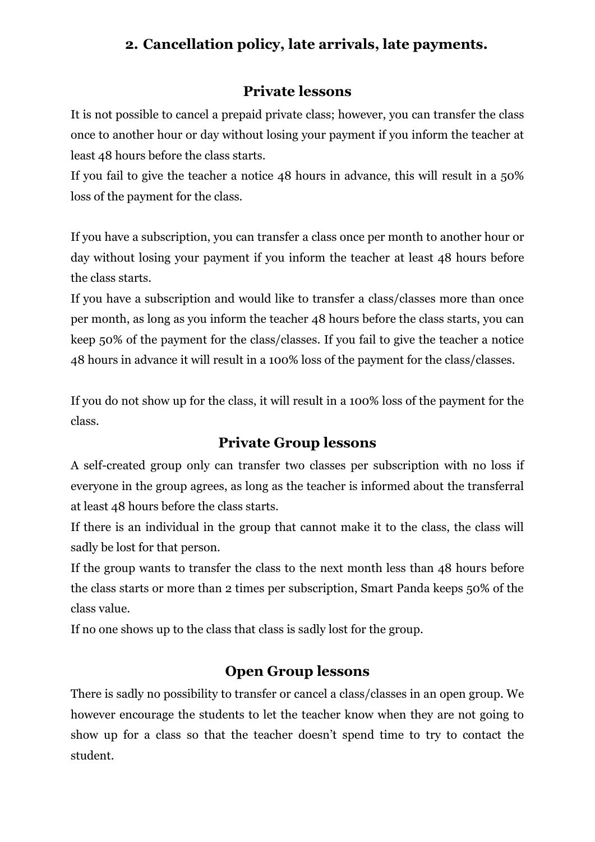#### **2. Cancellation policy, late arrivals, late payments.**

#### **Private lessons**

It is not possible to cancel a prepaid private class; however, you can transfer the class once to another hour or day without losing your payment if you inform the teacher at least 48 hours before the class starts.

If you fail to give the teacher a notice 48 hours in advance, this will result in a 50% loss of the payment for the class.

If you have a subscription, you can transfer a class once per month to another hour or day without losing your payment if you inform the teacher at least 48 hours before the class starts.

If you have a subscription and would like to transfer a class/classes more than once per month, as long as you inform the teacher 48 hours before the class starts, you can keep 50% of the payment for the class/classes. If you fail to give the teacher a notice 48 hours in advance it will result in a 100% loss of the payment for the class/classes.

If you do not show up for the class, it will result in a 100% loss of the payment for the class.

#### **Private Group lessons**

A self-created group only can transfer two classes per subscription with no loss if everyone in the group agrees, as long as the teacher is informed about the transferral at least 48 hours before the class starts.

If there is an individual in the group that cannot make it to the class, the class will sadly be lost for that person.

If the group wants to transfer the class to the next month less than 48 hours before the class starts or more than 2 times per subscription, Smart Panda keeps 50% of the class value.

If no one shows up to the class that class is sadly lost for the group.

#### **Open Group lessons**

There is sadly no possibility to transfer or cancel a class/classes in an open group. We however encourage the students to let the teacher know when they are not going to show up for a class so that the teacher doesn't spend time to try to contact the student.